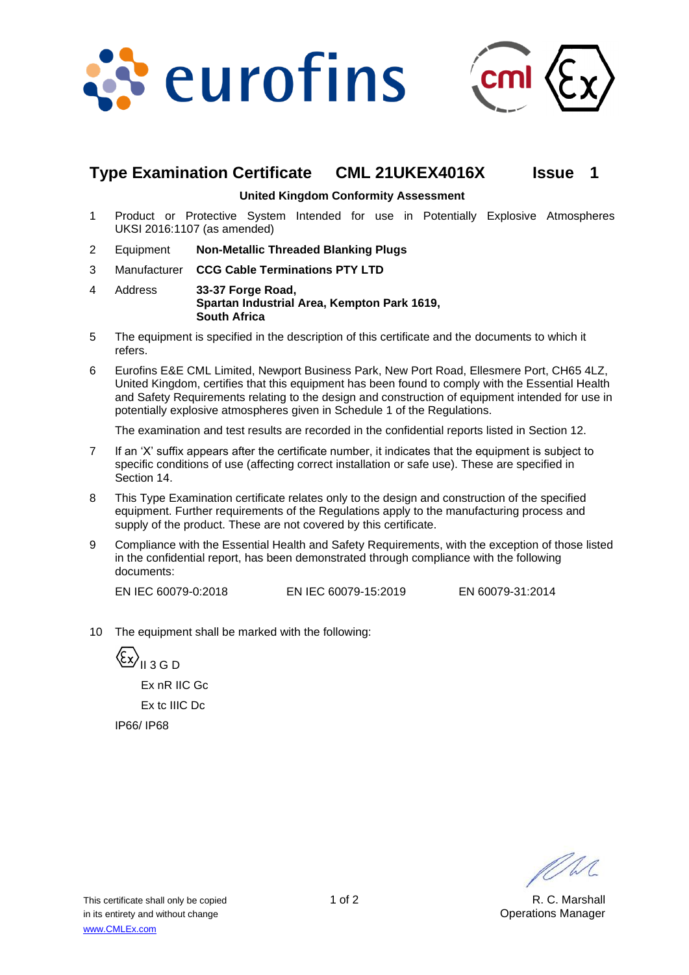



# **Type Examination Certificate CML 21UKEX4016X Issue 1**

**United Kingdom Conformity Assessment**

- 1 Product or Protective System Intended for use in Potentially Explosive Atmospheres UKSI 2016:1107 (as amended)
- 2 Equipment **Non-Metallic Threaded Blanking Plugs**
- 3 Manufacturer **CCG Cable Terminations PTY LTD**
- 4 Address **33-37 Forge Road, Spartan Industrial Area, Kempton Park 1619, South Africa**
- 5 The equipment is specified in the description of this certificate and the documents to which it refers.
- 6 Eurofins E&E CML Limited, Newport Business Park, New Port Road, Ellesmere Port, CH65 4LZ, United Kingdom, certifies that this equipment has been found to comply with the Essential Health and Safety Requirements relating to the design and construction of equipment intended for use in potentially explosive atmospheres given in Schedule 1 of the Regulations.

The examination and test results are recorded in the confidential reports listed in Section 12.

- 7 If an 'X' suffix appears after the certificate number, it indicates that the equipment is subject to specific conditions of use (affecting correct installation or safe use). These are specified in Section 14.
- 8 This Type Examination certificate relates only to the design and construction of the specified equipment. Further requirements of the Regulations apply to the manufacturing process and supply of the product. These are not covered by this certificate.
- 9 Compliance with the Essential Health and Safety Requirements, with the exception of those listed in the confidential report, has been demonstrated through compliance with the following documents:

EN IEC 60079-0:2018 EN IEC 60079-15:2019 EN 60079-31:2014

10 The equipment shall be marked with the following:

 $\langle \xi x \rangle$ <sub>II 3 G D</sub> Ex nR IIC Gc Ex tc IIIC Dc IP66/ IP68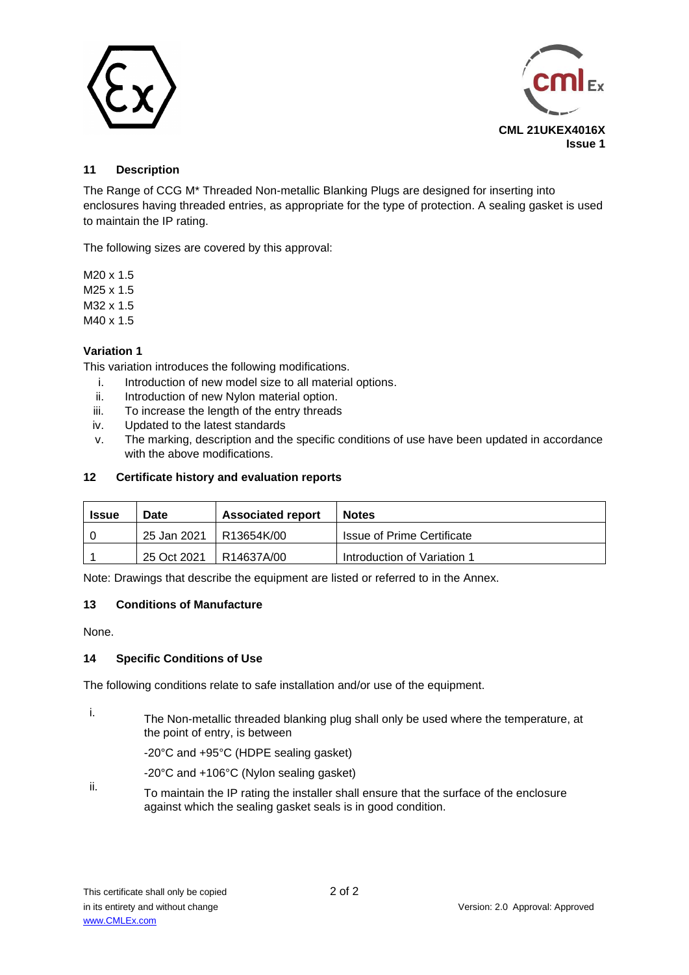



### **11 Description**

The Range of CCG M\* Threaded Non-metallic Blanking Plugs are designed for inserting into enclosures having threaded entries, as appropriate for the type of protection. A sealing gasket is used to maintain the IP rating.

The following sizes are covered by this approval:

M20 x 1.5 M25 x 1.5 M32 x 1.5 M40 x 1.5

# **Variation 1**

This variation introduces the following modifications.

- i. Introduction of new model size to all material options.
- ii. Introduction of new Nylon material option.
- iii. To increase the length of the entry threads
- iv. Updated to the latest standards
- v. The marking, description and the specific conditions of use have been updated in accordance with the above modifications.

#### **12 Certificate history and evaluation reports**

| <b>Issue</b> | Date        | <b>Associated report</b> | <b>Notes</b>                      |
|--------------|-------------|--------------------------|-----------------------------------|
|              | 25 Jan 2021 | l R13654K/00             | <b>Issue of Prime Certificate</b> |
|              | 25 Oct 2021 | IR14637A/00              | Introduction of Variation 1       |

Note: Drawings that describe the equipment are listed or referred to in the Annex.

### **13 Conditions of Manufacture**

None.

#### **14 Specific Conditions of Use**

The following conditions relate to safe installation and/or use of the equipment.

- 
- i. The Non-metallic threaded blanking plug shall only be used where the temperature, at the point of entry, is between

-20°C and +95°C (HDPE sealing gasket)

- -20°C and +106°C (Nylon sealing gasket)
- ii. To maintain the IP rating the installer shall ensure that the surface of the enclosure against which the sealing gasket seals is in good condition.